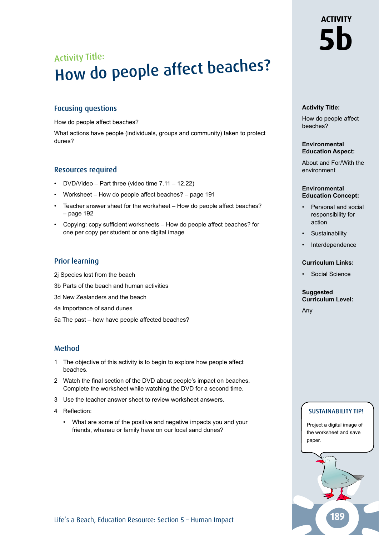## Focusing questions

How do people affect beaches?

What actions have people (individuals, groups and community) taken to protect dunes?

#### Resources required

- DVD/Video Part three (video time 7.11 12.22)
- Worksheet How do people affect beaches? page 191
- Teacher answer sheet for the worksheet How do people affect beaches? – page 192
- Copying: copy sufficient worksheets How do people affect beaches? for one per copy per student or one digital image

### Prior learning

- 2j Species lost from the beach
- 3b Parts of the beach and human activities
- 3d New Zealanders and the beach
- 4a Importance of sand dunes
- 5a The past how have people affected beaches?

#### Method

- 1 The objective of this activity is to begin to explore how people affect beaches.
- 2 Watch the final section of the DVD about people's impact on beaches. Complete the worksheet while watching the DVD for a second time.
- 3 Use the teacher answer sheet to review worksheet answers.
- 4 Reflection:
	- What are some of the positive and negative impacts you and your friends, whanau or family have on our local sand dunes?

#### **Activity Title:**

How do people affect beaches?

#### **Environmental Education Aspect:**

About and For/With the environment

#### **Environmental Education Concept:**

- Personal and social responsibility for action
- **Sustainability**
- **Interdependence**

#### **Curriculum Links:**

Social Science

#### **Suggested Curriculum Level:**

Any

## SUSTAINABILITY TIP!

Project a digital image of the worksheet and save paper.

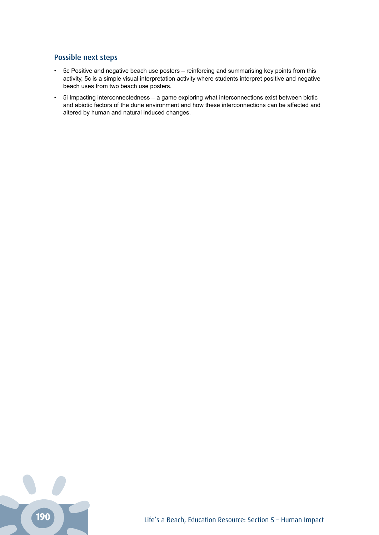# Possible next steps

- 5c Positive and negative beach use posters reinforcing and summarising key points from this activity, 5c is a simple visual interpretation activity where students interpret positive and negative beach uses from two beach use posters.
- 5i Impacting interconnectedness a game exploring what interconnections exist between biotic and abiotic factors of the dune environment and how these interconnections can be affected and altered by human and natural induced changes.

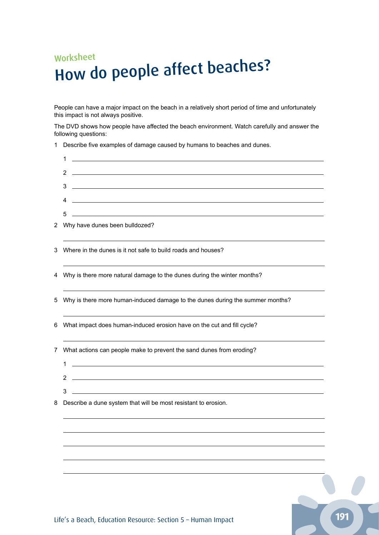# Worksheet How do people affect beaches?

People can have a major impact on the beach in a relatively short period of time and unfortunately this impact is not always positive.

The DVD shows how people have affected the beach environment. Watch carefully and answer the following questions:

Describe five examples of damage caused by humans to beaches and dunes.

|   | 1<br><u> 1980 - Johann Barn, mars ann an t-Amhain Aonaich an t-Aonaich an t-Aonaich ann an t-Aonaich ann an t-Aonaich</u>                |
|---|------------------------------------------------------------------------------------------------------------------------------------------|
|   | <u> 1989 - Johann Barn, mars ann an t-Amhainn an t-Amhainn an t-Amhainn an t-Amhainn an t-Amhainn an t-Amhainn an </u><br>$\overline{2}$ |
|   | <u> 1989 - Johann Barbara, markazi ya mshindi ya matu ya matu ya matu ya matu ya matu ya matu ya matu ya matu ya</u><br>3                |
|   | <u> 1989 - Johann Stein, marwolaethau a bhann an t-Amhainn an t-Amhainn an t-Amhainn an t-Amhainn an t-Amhainn a</u><br>4                |
|   | <u> 1989 - Johann Barn, mars ann an t-Amhain ann an t-Amhain an t-Amhain an t-Amhain an t-Amhain an t-Amhain an t-</u><br>5              |
|   | 2 Why have dunes been bulldozed?                                                                                                         |
|   | 3 Where in the dunes is it not safe to build roads and houses?                                                                           |
|   | 4 Why is there more natural damage to the dunes during the winter months?                                                                |
|   | 5 Why is there more human-induced damage to the dunes during the summer months?                                                          |
| 6 | What impact does human-induced erosion have on the cut and fill cycle?                                                                   |
|   | 7 What actions can people make to prevent the sand dunes from eroding?                                                                   |
|   | $\mathbf{1}$                                                                                                                             |
|   | <u> 1989 - Johann Barbara, martin amerikan basal dan berasal dan berasal dalam basal dan berasal dan berasal dan</u><br>2                |
|   | the control of the control of the control of the control of the control of the control of<br>3                                           |
| 8 | Describe a dune system that will be most resistant to erosion.                                                                           |
|   |                                                                                                                                          |
|   |                                                                                                                                          |